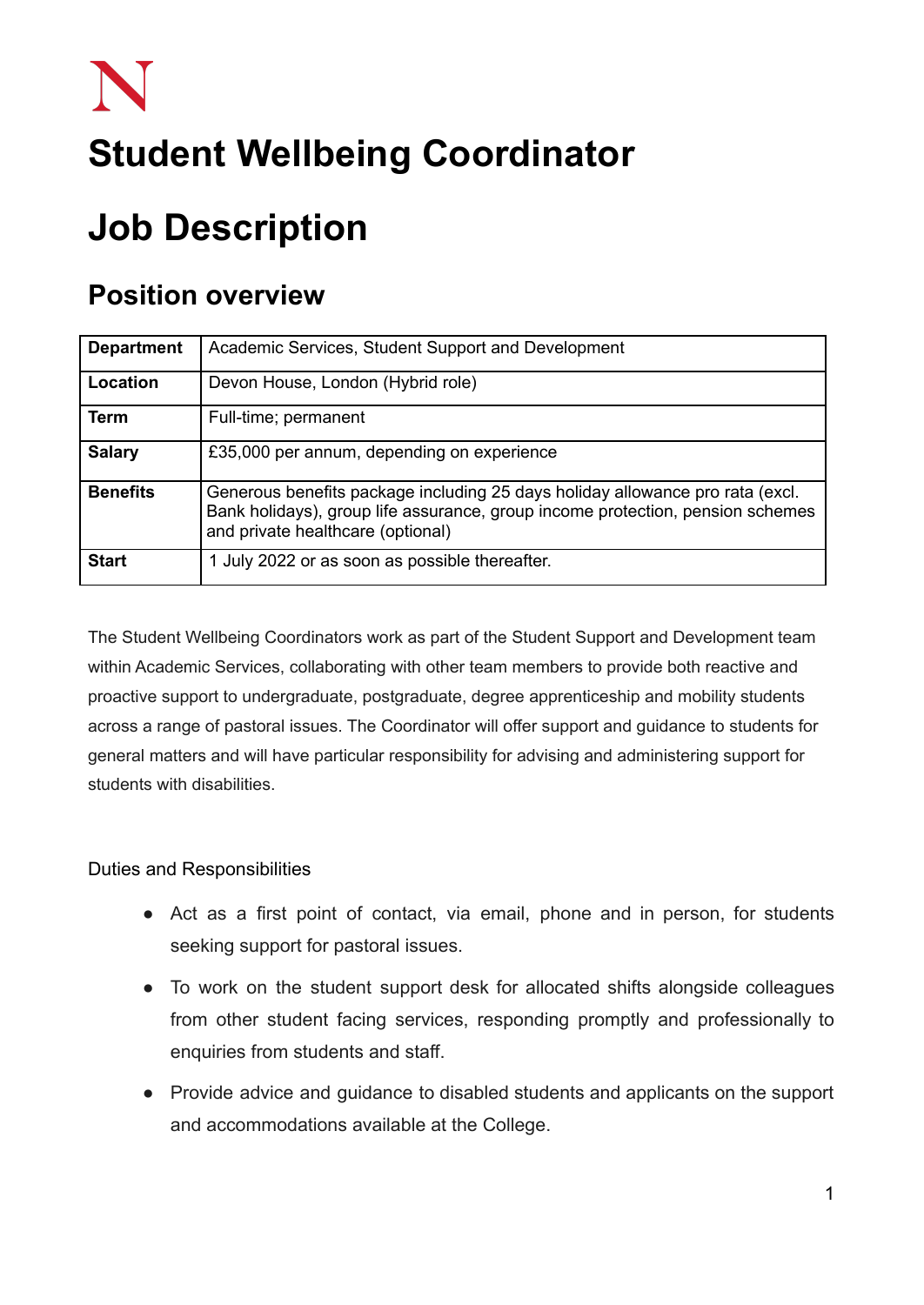N

# **Student Wellbeing Coordinator**

# **Job Description**

### **Position overview**

| <b>Department</b> | Academic Services, Student Support and Development                                                                                                                                                   |
|-------------------|------------------------------------------------------------------------------------------------------------------------------------------------------------------------------------------------------|
| Location          | Devon House, London (Hybrid role)                                                                                                                                                                    |
| Term              | Full-time; permanent                                                                                                                                                                                 |
| <b>Salary</b>     | £35,000 per annum, depending on experience                                                                                                                                                           |
| <b>Benefits</b>   | Generous benefits package including 25 days holiday allowance pro rata (excl.<br>Bank holidays), group life assurance, group income protection, pension schemes<br>and private healthcare (optional) |
| <b>Start</b>      | 1 July 2022 or as soon as possible thereafter.                                                                                                                                                       |

The Student Wellbeing Coordinators work as part of the Student Support and Development team within Academic Services, collaborating with other team members to provide both reactive and proactive support to undergraduate, postgraduate, degree apprenticeship and mobility students across a range of pastoral issues. The Coordinator will offer support and guidance to students for general matters and will have particular responsibility for advising and administering support for students with disabilities.

#### Duties and Responsibilities

- Act as a first point of contact, via email, phone and in person, for students seeking support for pastoral issues.
- To work on the student support desk for allocated shifts alongside colleagues from other student facing services, responding promptly and professionally to enquiries from students and staff.
- Provide advice and guidance to disabled students and applicants on the support and accommodations available at the College.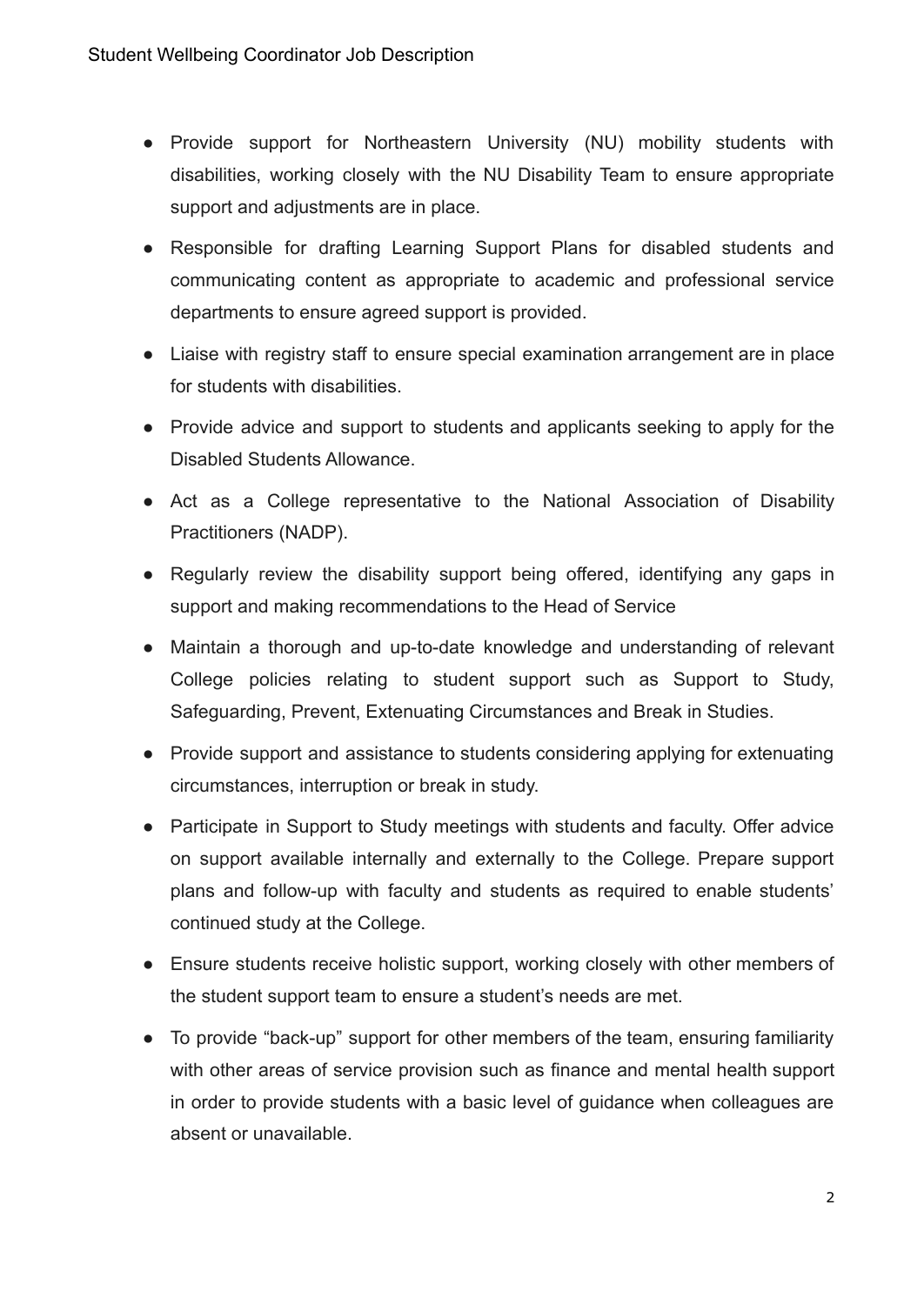- Provide support for Northeastern University (NU) mobility students with disabilities, working closely with the NU Disability Team to ensure appropriate support and adjustments are in place.
- Responsible for drafting Learning Support Plans for disabled students and communicating content as appropriate to academic and professional service departments to ensure agreed support is provided.
- Liaise with registry staff to ensure special examination arrangement are in place for students with disabilities.
- Provide advice and support to students and applicants seeking to apply for the Disabled Students Allowance.
- Act as a College representative to the National Association of Disability Practitioners (NADP).
- Regularly review the disability support being offered, identifying any gaps in support and making recommendations to the Head of Service
- Maintain a thorough and up-to-date knowledge and understanding of relevant College policies relating to student support such as Support to Study, Safeguarding, Prevent, Extenuating Circumstances and Break in Studies.
- Provide support and assistance to students considering applying for extenuating circumstances, interruption or break in study.
- Participate in Support to Study meetings with students and faculty. Offer advice on support available internally and externally to the College. Prepare support plans and follow-up with faculty and students as required to enable students' continued study at the College.
- Ensure students receive holistic support, working closely with other members of the student support team to ensure a student's needs are met.
- To provide "back-up" support for other members of the team, ensuring familiarity with other areas of service provision such as finance and mental health support in order to provide students with a basic level of guidance when colleagues are absent or unavailable.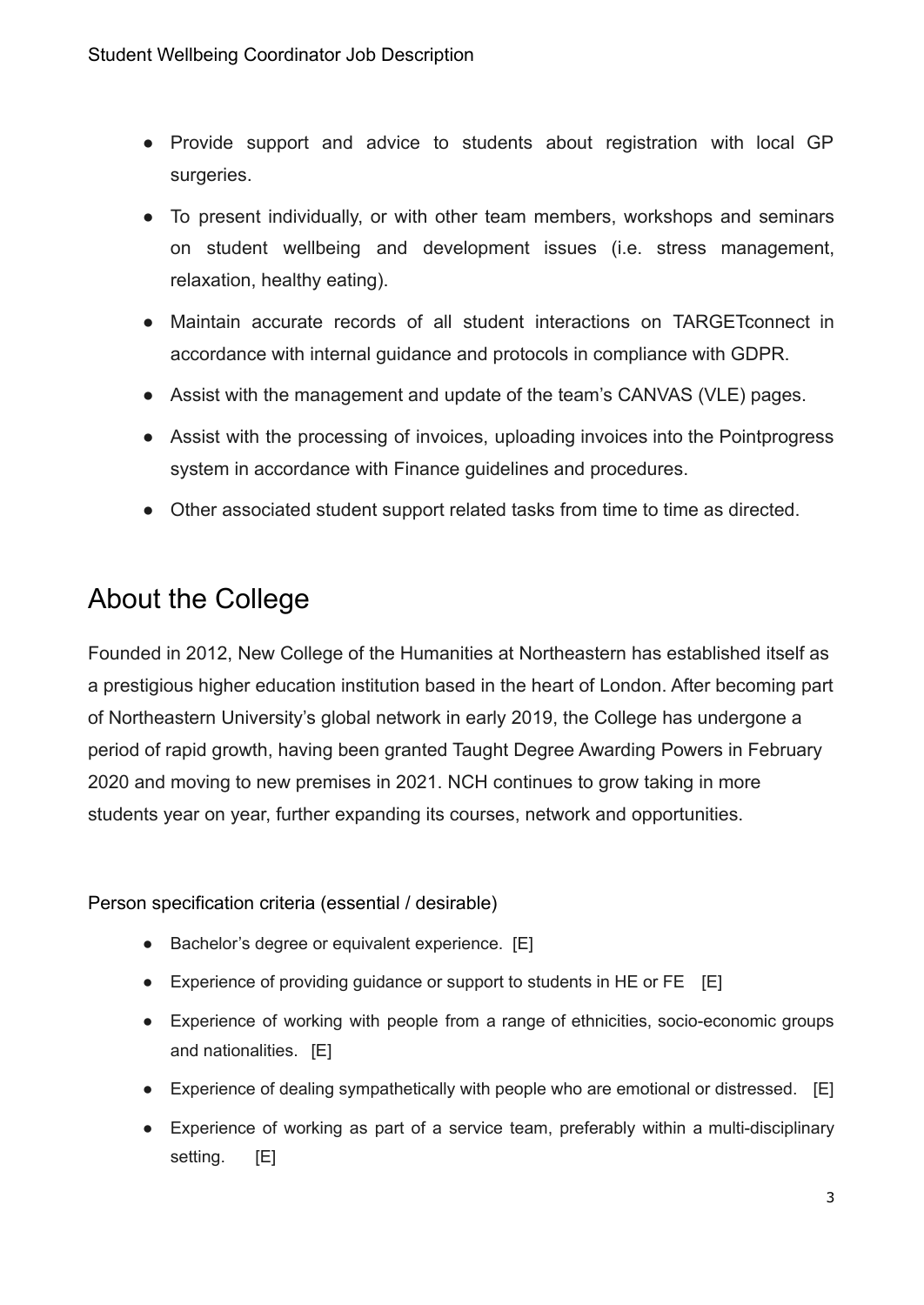- Provide support and advice to students about registration with local GP surgeries.
- To present individually, or with other team members, workshops and seminars on student wellbeing and development issues (i.e. stress management, relaxation, healthy eating).
- Maintain accurate records of all student interactions on TARGETconnect in accordance with internal guidance and protocols in compliance with GDPR.
- Assist with the management and update of the team's CANVAS (VLE) pages.
- Assist with the processing of invoices, uploading invoices into the Pointprogress system in accordance with Finance guidelines and procedures.
- Other associated student support related tasks from time to time as directed.

## About the College

Founded in 2012, New College of the Humanities at Northeastern has established itself as a prestigious higher education institution based in the heart of London. After becoming part of Northeastern University's global network in early 2019, the College has undergone a period of rapid growth, having been granted Taught Degree Awarding Powers in February 2020 and moving to new premises in 2021. NCH continues to grow taking in more students year on year, further expanding its courses, network and opportunities.

Person specification criteria (essential / desirable)

- Bachelor's degree or equivalent experience. [E]
- Experience of providing guidance or support to students in HE or FE [E]
- Experience of working with people from a range of ethnicities, socio-economic groups and nationalities. [E]
- Experience of dealing sympathetically with people who are emotional or distressed. [E]
- Experience of working as part of a service team, preferably within a multi-disciplinary setting. [E]